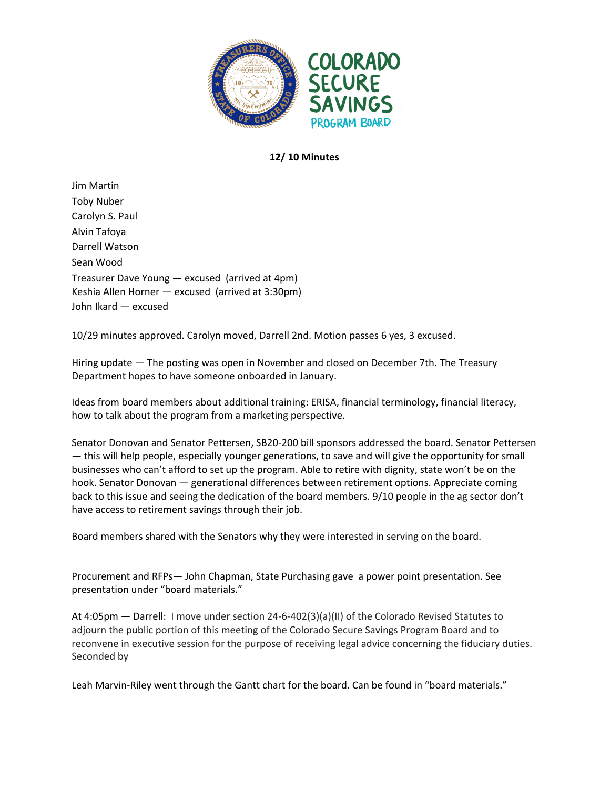

## **12/ 10 Minutes**

Jim Martin Toby Nuber Carolyn S. Paul Alvin Tafoya Darrell Watson Sean Wood Treasurer Dave Young — excused (arrived at 4pm) Keshia Allen Horner — excused (arrived at 3:30pm) John Ikard — excused

10/29 minutes approved. Carolyn moved, Darrell 2nd. Motion passes 6 yes, 3 excused.

Hiring update — The posting was open in November and closed on December 7th. The Treasury Department hopes to have someone onboarded in January.

Ideas from board members about additional training: ERISA, financial terminology, financial literacy, how to talk about the program from a marketing perspective.

Senator Donovan and Senator Pettersen, SB20-200 bill sponsors addressed the board. Senator Pettersen — this will help people, especially younger generations, to save and will give the opportunity for small businesses who can't afford to set up the program. Able to retire with dignity, state won't be on the hook. Senator Donovan — generational differences between retirement options. Appreciate coming back to this issue and seeing the dedication of the board members. 9/10 people in the ag sector don't have access to retirement savings through their job.

Board members shared with the Senators why they were interested in serving on the board.

Procurement and RFPs— John Chapman, State Purchasing gave a power point presentation. See presentation under "board materials."

At 4:05pm — Darrell: I move under section 24-6-402(3)(a)(II) of the Colorado Revised Statutes to adjourn the public portion of this meeting of the Colorado Secure Savings Program Board and to reconvene in executive session for the purpose of receiving legal advice concerning the fiduciary duties. Seconded by

Leah Marvin-Riley went through the Gantt chart for the board. Can be found in "board materials."